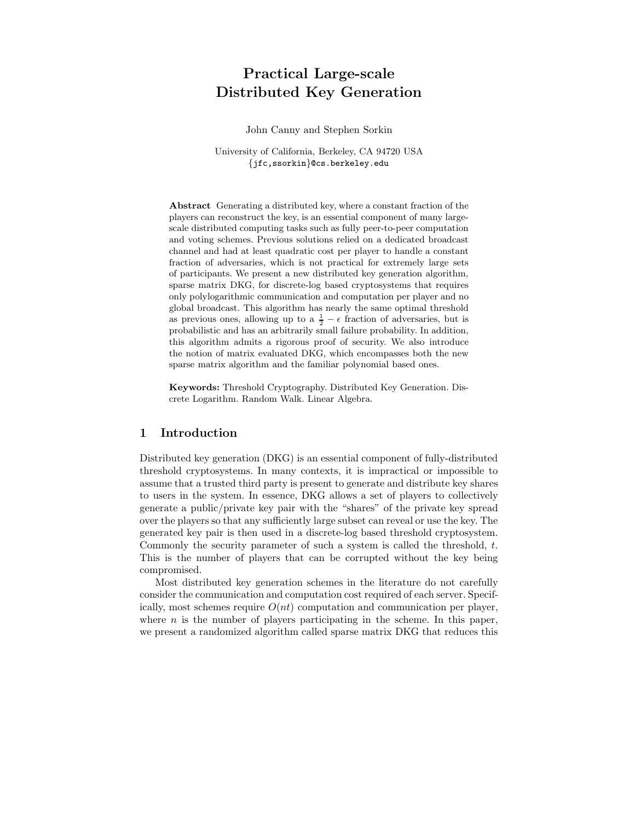# Practical Large-scale Distributed Key Generation

John Canny and Stephen Sorkin

University of California, Berkeley, CA 94720 USA {jfc,ssorkin}@cs.berkeley.edu

Abstract Generating a distributed key, where a constant fraction of the players can reconstruct the key, is an essential component of many largescale distributed computing tasks such as fully peer-to-peer computation and voting schemes. Previous solutions relied on a dedicated broadcast channel and had at least quadratic cost per player to handle a constant fraction of adversaries, which is not practical for extremely large sets of participants. We present a new distributed key generation algorithm, sparse matrix DKG, for discrete-log based cryptosystems that requires only polylogarithmic communication and computation per player and no global broadcast. This algorithm has nearly the same optimal threshold as previous ones, allowing up to a  $\frac{1}{2} - \epsilon$  fraction of adversaries, but is probabilistic and has an arbitrarily small failure probability. In addition, this algorithm admits a rigorous proof of security. We also introduce the notion of matrix evaluated DKG, which encompasses both the new sparse matrix algorithm and the familiar polynomial based ones.

Keywords: Threshold Cryptography. Distributed Key Generation. Discrete Logarithm. Random Walk. Linear Algebra.

# 1 Introduction

Distributed key generation (DKG) is an essential component of fully-distributed threshold cryptosystems. In many contexts, it is impractical or impossible to assume that a trusted third party is present to generate and distribute key shares to users in the system. In essence, DKG allows a set of players to collectively generate a public/private key pair with the "shares" of the private key spread over the players so that any sufficiently large subset can reveal or use the key. The generated key pair is then used in a discrete-log based threshold cryptosystem. Commonly the security parameter of such a system is called the threshold, t. This is the number of players that can be corrupted without the key being compromised.

Most distributed key generation schemes in the literature do not carefully consider the communication and computation cost required of each server. Specifically, most schemes require  $O(nt)$  computation and communication per player, where  $n$  is the number of players participating in the scheme. In this paper, we present a randomized algorithm called sparse matrix DKG that reduces this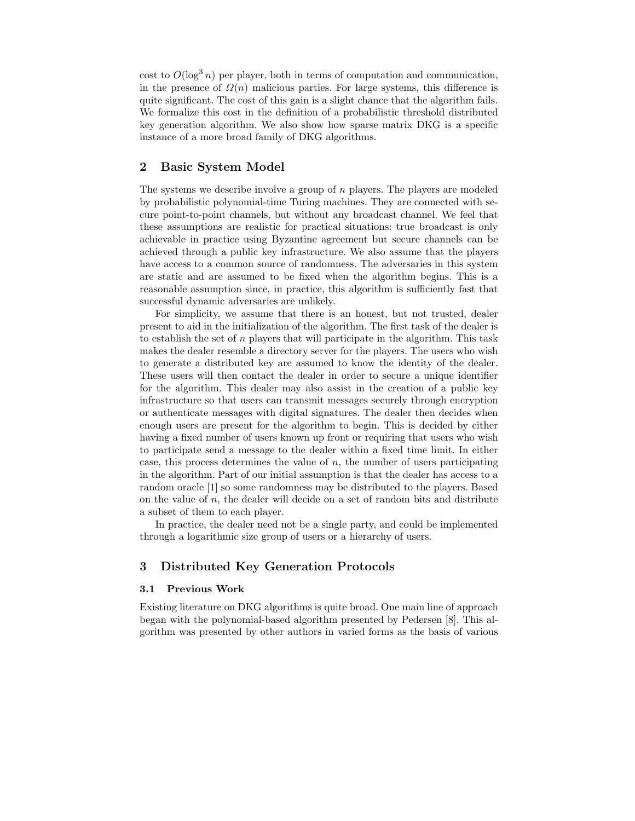cost to  $O(\log^3 n)$  per player, both in terms of computation and communication, in the presence of  $\Omega(n)$  malicious parties. For large systems, this difference is quite significant. The cost of this gain is a slight chance that the algorithm fails. We formalize this cost in the definition of a probabilistic threshold distributed key generation algorithm. We also show how sparse matrix DKG is a specific instance of a more broad family of DKG algorithms.

## 2 Basic System Model

The systems we describe involve a group of  $n$  players. The players are modeled by probabilistic polynomial-time Turing machines. They are connected with secure point-to-point channels, but without any broadcast channel. We feel that these assumptions are realistic for practical situations: true broadcast is only achievable in practice using Byzantine agreement but secure channels can be achieved through a public key infrastructure. We also assume that the players have access to a common source of randomness. The adversaries in this system are static and are assumed to be fixed when the algorithm begins. This is a reasonable assumption since, in practice, this algorithm is sufficiently fast that successful dynamic adversaries are unlikely.

For simplicity, we assume that there is an honest, but not trusted, dealer present to aid in the initialization of the algorithm. The first task of the dealer is to establish the set of  $n$  players that will participate in the algorithm. This task makes the dealer resemble a directory server for the players. The users who wish to generate a distributed key are assumed to know the identity of the dealer. These users will then contact the dealer in order to secure a unique identifier for the algorithm. This dealer may also assist in the creation of a public key infrastructure so that users can transmit messages securely through encryption or authenticate messages with digital signatures. The dealer then decides when enough users are present for the algorithm to begin. This is decided by either having a fixed number of users known up front or requiring that users who wish to participate send a message to the dealer within a fixed time limit. In either case, this process determines the value of  $n$ , the number of users participating in the algorithm. Part of our initial assumption is that the dealer has access to a random oracle [1] so some randomness may be distributed to the players. Based on the value of n, the dealer will decide on a set of random bits and distribute a subset of them to each player.

In practice, the dealer need not be a single party, and could be implemented through a logarithmic size group of users or a hierarchy of users.

## 3 Distributed Key Generation Protocols

### 3.1 Previous Work

Existing literature on DKG algorithms is quite broad. One main line of approach began with the polynomial-based algorithm presented by Pedersen [8]. This algorithm was presented by other authors in varied forms as the basis of various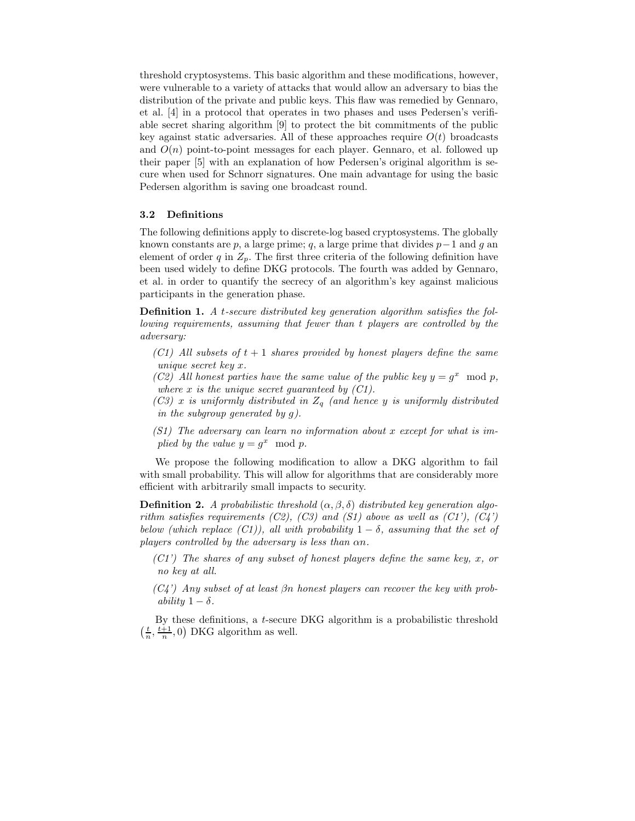threshold cryptosystems. This basic algorithm and these modifications, however, were vulnerable to a variety of attacks that would allow an adversary to bias the distribution of the private and public keys. This flaw was remedied by Gennaro, et al. [4] in a protocol that operates in two phases and uses Pedersen's verifiable secret sharing algorithm [9] to protect the bit commitments of the public key against static adversaries. All of these approaches require  $O(t)$  broadcasts and  $O(n)$  point-to-point messages for each player. Gennaro, et al. followed up their paper [5] with an explanation of how Pedersen's original algorithm is secure when used for Schnorr signatures. One main advantage for using the basic Pedersen algorithm is saving one broadcast round.

## 3.2 Definitions

The following definitions apply to discrete-log based cryptosystems. The globally known constants are p, a large prime; q, a large prime that divides  $p-1$  and g an element of order q in  $Z_p$ . The first three criteria of the following definition have been used widely to define DKG protocols. The fourth was added by Gennaro, et al. in order to quantify the secrecy of an algorithm's key against malicious participants in the generation phase.

Definition 1. A t-secure distributed key generation algorithm satisfies the following requirements, assuming that fewer than t players are controlled by the adversary:

- (C1) All subsets of  $t + 1$  shares provided by honest players define the same unique secret key x.
- (C2) All honest parties have the same value of the public key  $y = g^x \mod p$ , where x is the unique secret guaranteed by  $(C1)$ .
- $(C3)$  x is uniformly distributed in  $Z_q$  (and hence y is uniformly distributed in the subgroup generated by g).
- $(S1)$  The adversary can learn no information about x except for what is implied by the value  $y = g^x \mod p$ .

We propose the following modification to allow a DKG algorithm to fail with small probability. This will allow for algorithms that are considerably more efficient with arbitrarily small impacts to security.

**Definition 2.** A probabilistic threshold  $(\alpha, \beta, \delta)$  distributed key generation algorithm satisfies requirements (C2), (C3) and (S1) above as well as (C1'),  $(C4')$ below (which replace (C1)), all with probability  $1 - \delta$ , assuming that the set of players controlled by the adversary is less than αn.

- $(C1')$  The shares of any subset of honest players define the same key, x, or no key at all.
- $(C4')$  Any subset of at least  $\beta n$  honest players can recover the key with probability  $1 - \delta$ .

By these definitions, a t-secure DKG algorithm is a probabilistic threshold  $\left(\frac{t}{n}, \frac{t+1}{n}, 0\right)$  DKG algorithm as well.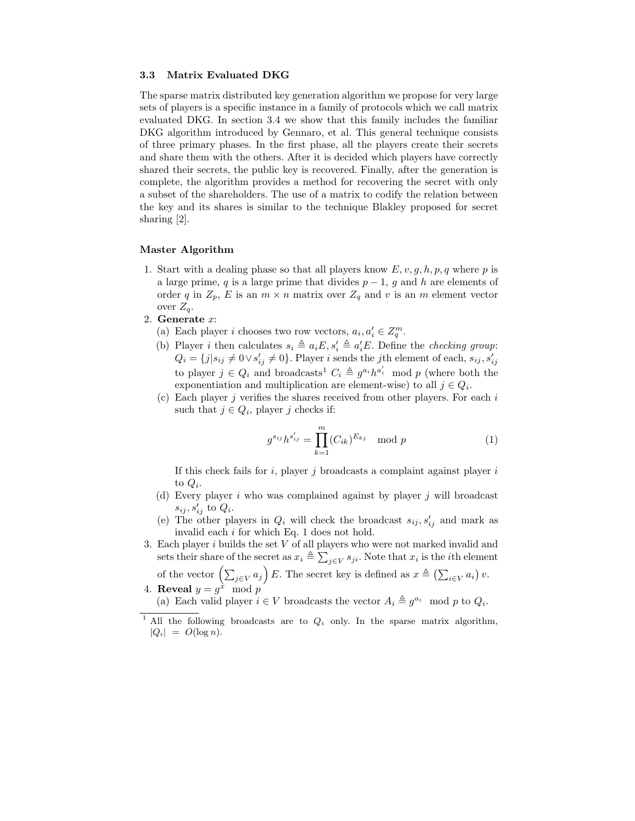#### 3.3 Matrix Evaluated DKG

The sparse matrix distributed key generation algorithm we propose for very large sets of players is a specific instance in a family of protocols which we call matrix evaluated DKG. In section 3.4 we show that this family includes the familiar DKG algorithm introduced by Gennaro, et al. This general technique consists of three primary phases. In the first phase, all the players create their secrets and share them with the others. After it is decided which players have correctly shared their secrets, the public key is recovered. Finally, after the generation is complete, the algorithm provides a method for recovering the secret with only a subset of the shareholders. The use of a matrix to codify the relation between the key and its shares is similar to the technique Blakley proposed for secret sharing [2].

## Master Algorithm

- 1. Start with a dealing phase so that all players know  $E, v, q, h, p, q$  where p is a large prime, q is a large prime that divides  $p-1$ , q and h are elements of order q in  $Z_p$ , E is an  $m \times n$  matrix over  $Z_q$  and v is an m element vector over  $Z_q$ .
- 2. Generate x:
	- (a) Each player *i* chooses two row vectors,  $a_i, a'_i \in Z_q^m$ .
	- (b) Player *i* then calculates  $s_i \triangleq a_i E, s'_i \triangleq a'_i E$ . Define the *checking group*:  $Q_i = \{j | s_{ij} \neq 0 \vee s'_{ij} \neq 0\}$ . Player i sends the jth element of each,  $s_{ij}, s'_{ij}$ to player  $j \in Q_i$  and broadcasts<sup>1</sup>  $C_i \triangleq g^{a_i} h^{a'_i} \mod p$  (where both the exponentiation and multiplication are element-wise) to all  $j \in Q_i$ .
	- (c) Each player j verifies the shares received from other players. For each  $i$ such that  $j \in Q_i$ , player j checks if:

$$
g^{s_{ij}}h^{s'_{ij}} = \prod_{k=1}^{m} (C_{ik})^{E_{kj}} \mod p
$$
 (1)

If this check fails for i, player j broadcasts a complaint against player i to  $Q_i$ .

- (d) Every player  $i$  who was complained against by player  $j$  will broadcast  $s_{ij}, s'_{ij}$  to  $Q_i$ .
- (e) The other players in  $Q_i$  will check the broadcast  $s_{ij}, s'_{ij}$  and mark as invalid each i for which Eq. 1 does not hold.
- 3. Each player  $i$  builds the set  $V$  of all players who were not marked invalid and sets their share of the secret as  $x_i \triangleq \sum_{j \in V} s_{ji}$ . Note that  $x_i$  is the *i*th element of the vector  $\left(\sum_{j\in V} a_j\right) E$ . The secret key is defined as  $x \triangleq \left(\sum_{i\in V} a_i\right) v$ .
- 4. **Reveal**  $y = g^{\hat{x}} \mod p$ 
	- (a) Each valid player  $i \in V$  broadcasts the vector  $A_i \triangleq g^{a_i} \mod p$  to  $Q_i$ .

<sup>&</sup>lt;sup>1</sup> All the following broadcasts are to  $Q_i$  only. In the sparse matrix algorithm,  $|Q_i| = O(\log n).$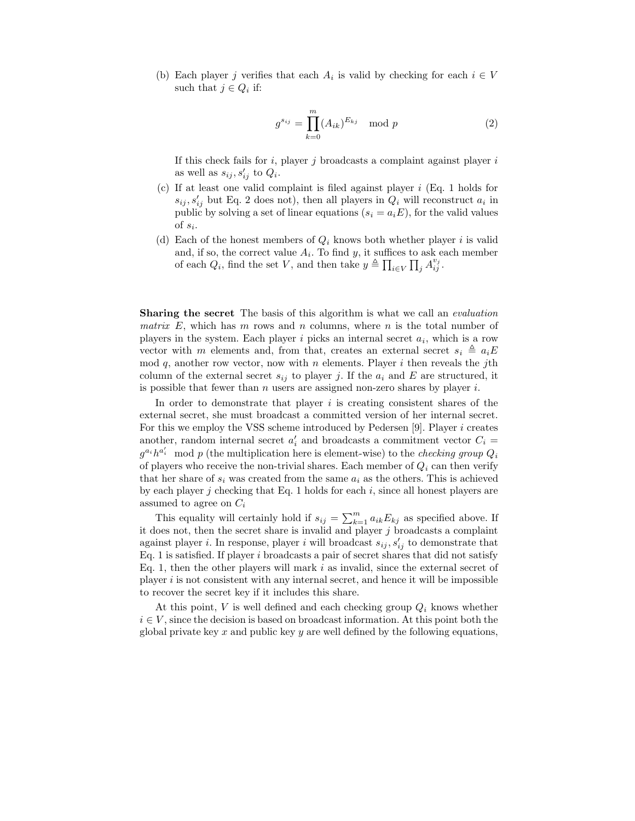(b) Each player j verifies that each  $A_i$  is valid by checking for each  $i \in V$ such that  $j \in Q_i$  if:

$$
g^{s_{ij}} = \prod_{k=0}^{m} (A_{ik})^{E_{kj}} \mod p \tag{2}
$$

If this check fails for i, player j broadcasts a complaint against player i as well as  $s_{ij}, s'_{ij}$  to  $Q_i$ .

- (c) If at least one valid complaint is filed against player i (Eq. 1 holds for  $s_{ij}, s'_{ij}$  but Eq. 2 does not), then all players in  $Q_i$  will reconstruct  $a_i$  in public by solving a set of linear equations  $(s_i = a_i E)$ , for the valid values of  $s_i$ .
- (d) Each of the honest members of  $Q_i$  knows both whether player i is valid and, if so, the correct value  $A_i$ . To find y, it suffices to ask each member of each  $Q_i$ , find the set V, and then take  $y \triangleq \prod_{i \in V} \prod_j A_{ij}^{v_j}$ .

**Sharing the secret** The basis of this algorithm is what we call an *evaluation matrix* E, which has m rows and n columns, where n is the total number of players in the system. Each player  $i$  picks an internal secret  $a_i$ , which is a row vector with m elements and, from that, creates an external secret  $s_i \triangleq a_i E$ mod q, another row vector, now with n elements. Player i then reveals the jth column of the external secret  $s_{ij}$  to player j. If the  $a_i$  and E are structured, it is possible that fewer than  $n$  users are assigned non-zero shares by player  $i$ .

In order to demonstrate that player  $i$  is creating consistent shares of the external secret, she must broadcast a committed version of her internal secret. For this we employ the VSS scheme introduced by Pedersen [9]. Player i creates another, random internal secret  $a'_i$  and broadcasts a commitment vector  $C_i$  =  $g^{a_i}h^{a'_i}$  mod p (the multiplication here is element-wise) to the *checking group*  $Q_i$ of players who receive the non-trivial shares. Each member of  $Q_i$  can then verify that her share of  $s_i$  was created from the same  $a_i$  as the others. This is achieved by each player  $j$  checking that Eq. 1 holds for each  $i$ , since all honest players are assumed to agree on  $C_i$ 

This equality will certainly hold if  $s_{ij} = \sum_{k=1}^{m} a_{ik} E_{kj}$  as specified above. If it does not, then the secret share is invalid and player  $j$  broadcasts a complaint against player *i*. In response, player *i* will broadcast  $s_{ij}, s'_{ij}$  to demonstrate that Eq. 1 is satisfied. If player  $i$  broadcasts a pair of secret shares that did not satisfy Eq. 1, then the other players will mark  $i$  as invalid, since the external secret of player  $i$  is not consistent with any internal secret, and hence it will be impossible to recover the secret key if it includes this share.

At this point,  $V$  is well defined and each checking group  $Q_i$  knows whether  $i \in V$ , since the decision is based on broadcast information. At this point both the global private key x and public key y are well defined by the following equations,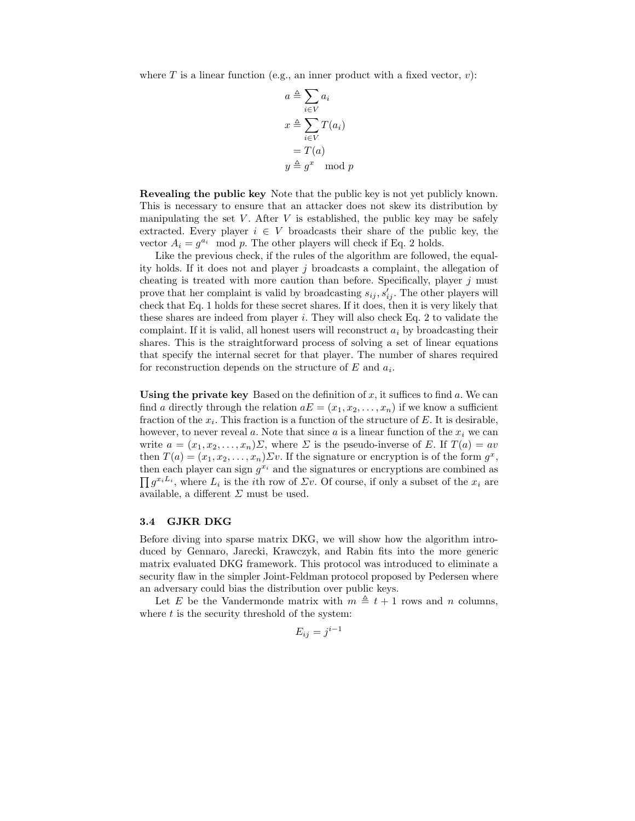where T is a linear function (e.g., an inner product with a fixed vector,  $v$ ):

$$
a \triangleq \sum_{i \in V} a_i
$$

$$
x \triangleq \sum_{i \in V} T(a_i)
$$

$$
= T(a)
$$

$$
y \triangleq g^x \mod p
$$

Revealing the public key Note that the public key is not yet publicly known. This is necessary to ensure that an attacker does not skew its distribution by manipulating the set  $V$ . After  $V$  is established, the public key may be safely extracted. Every player  $i \in V$  broadcasts their share of the public key, the vector  $A_i = g^{a_i} \mod p$ . The other players will check if Eq. 2 holds.

Like the previous check, if the rules of the algorithm are followed, the equality holds. If it does not and player  $j$  broadcasts a complaint, the allegation of cheating is treated with more caution than before. Specifically, player  $j$  must prove that her complaint is valid by broadcasting  $s_{ij}, s'_{ij}$ . The other players will check that Eq. 1 holds for these secret shares. If it does, then it is very likely that these shares are indeed from player i. They will also check Eq. 2 to validate the complaint. If it is valid, all honest users will reconstruct  $a_i$  by broadcasting their shares. This is the straightforward process of solving a set of linear equations that specify the internal secret for that player. The number of shares required for reconstruction depends on the structure of  $E$  and  $a_i$ .

Using the private key Based on the definition of x, it suffices to find a. We can find a directly through the relation  $aE = (x_1, x_2, \ldots, x_n)$  if we know a sufficient fraction of the  $x_i$ . This fraction is a function of the structure of E. It is desirable, however, to never reveal a. Note that since a is a linear function of the  $x_i$  we can write  $a = (x_1, x_2, \ldots, x_n) \Sigma$ , where  $\Sigma$  is the pseudo-inverse of E. If  $T(a) = av$ then  $T(a) = (x_1, x_2, \dots, x_n) \Sigma v$ . If the signature or encryption is of the form  $g^x$ , then each player can sign  $g^{x_i}$  and the signatures or encryptions are combined as  $\prod g^{x_iL_i}$ , where  $L_i$  is the *i*th row of  $\Sigma v$ . Of course, if only a subset of the  $x_i$  are available, a different  $\Sigma$  must be used.

#### 3.4 GJKR DKG

Before diving into sparse matrix DKG, we will show how the algorithm introduced by Gennaro, Jarecki, Krawczyk, and Rabin fits into the more generic matrix evaluated DKG framework. This protocol was introduced to eliminate a security flaw in the simpler Joint-Feldman protocol proposed by Pedersen where an adversary could bias the distribution over public keys.

Let E be the Vandermonde matrix with  $m \triangleq t + 1$  rows and n columns, where  $t$  is the security threshold of the system:

$$
E_{ij} = j^{i-1}
$$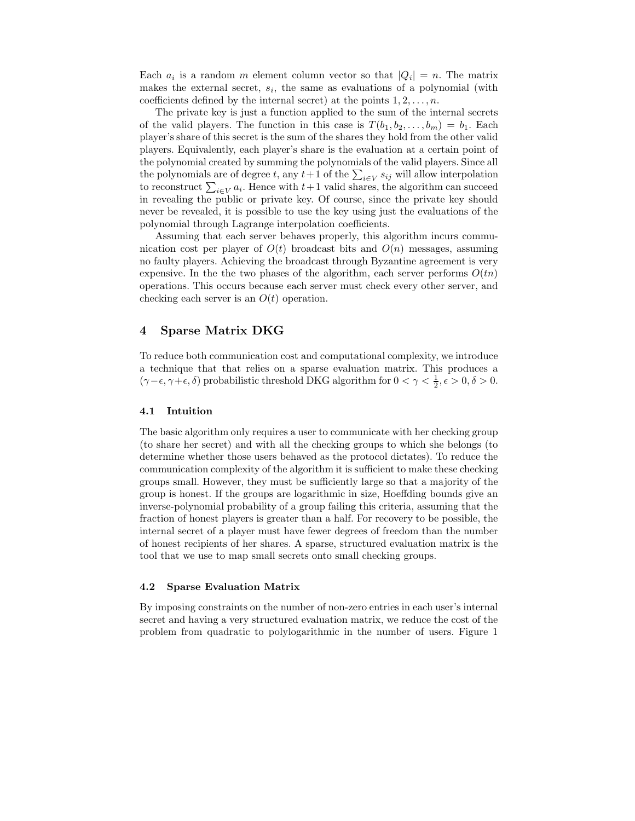Each  $a_i$  is a random m element column vector so that  $|Q_i| = n$ . The matrix makes the external secret,  $s_i$ , the same as evaluations of a polynomial (with coefficients defined by the internal secret) at the points  $1, 2, \ldots, n$ .

The private key is just a function applied to the sum of the internal secrets of the valid players. The function in this case is  $T(b_1, b_2, \ldots, b_m) = b_1$ . Each player's share of this secret is the sum of the shares they hold from the other valid players. Equivalently, each player's share is the evaluation at a certain point of the polynomial created by summing the polynomials of the valid players. Since all the polynomials are of degree t, any  $t+1$  of the  $\sum_{i \in V} s_{ij}$  will allow interpolation to reconstruct  $\sum_{i\in V} a_i$ . Hence with  $t+1$  valid shares, the algorithm can succeed in revealing the public or private key. Of course, since the private key should never be revealed, it is possible to use the key using just the evaluations of the polynomial through Lagrange interpolation coefficients.

Assuming that each server behaves properly, this algorithm incurs communication cost per player of  $O(t)$  broadcast bits and  $O(n)$  messages, assuming no faulty players. Achieving the broadcast through Byzantine agreement is very expensive. In the the two phases of the algorithm, each server performs  $O(tn)$ operations. This occurs because each server must check every other server, and checking each server is an  $O(t)$  operation.

# 4 Sparse Matrix DKG

To reduce both communication cost and computational complexity, we introduce a technique that that relies on a sparse evaluation matrix. This produces a  $(\gamma - \epsilon, \gamma + \epsilon, \delta)$  probabilistic threshold DKG algorithm for  $0 < \gamma < \frac{1}{2}, \epsilon > 0, \delta > 0$ .

#### 4.1 Intuition

The basic algorithm only requires a user to communicate with her checking group (to share her secret) and with all the checking groups to which she belongs (to determine whether those users behaved as the protocol dictates). To reduce the communication complexity of the algorithm it is sufficient to make these checking groups small. However, they must be sufficiently large so that a majority of the group is honest. If the groups are logarithmic in size, Hoeffding bounds give an inverse-polynomial probability of a group failing this criteria, assuming that the fraction of honest players is greater than a half. For recovery to be possible, the internal secret of a player must have fewer degrees of freedom than the number of honest recipients of her shares. A sparse, structured evaluation matrix is the tool that we use to map small secrets onto small checking groups.

### 4.2 Sparse Evaluation Matrix

By imposing constraints on the number of non-zero entries in each user's internal secret and having a very structured evaluation matrix, we reduce the cost of the problem from quadratic to polylogarithmic in the number of users. Figure 1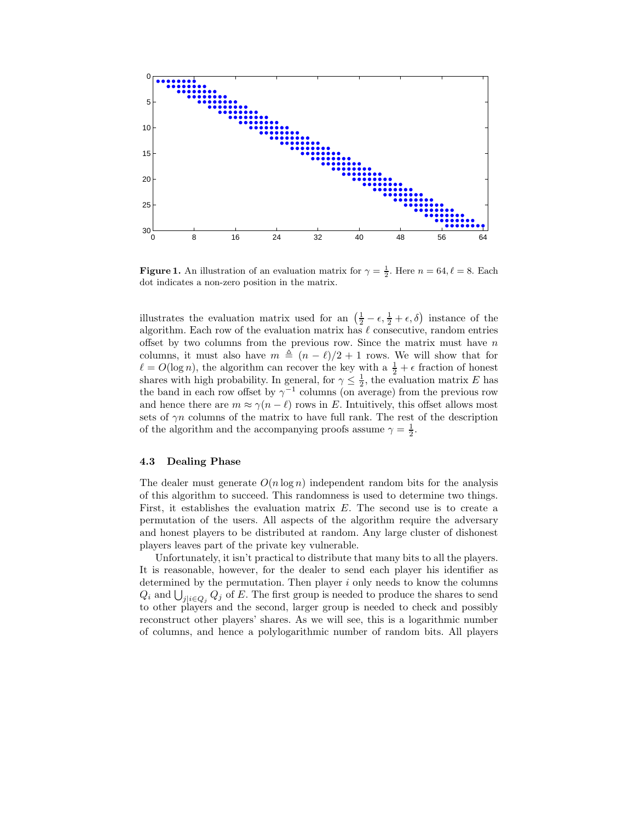

**Figure 1.** An illustration of an evaluation matrix for  $\gamma = \frac{1}{2}$ . Here  $n = 64, \ell = 8$ . Each dot indicates a non-zero position in the matrix.

illustrates the evaluation matrix used for an  $(\frac{1}{2} - \epsilon, \frac{1}{2} + \epsilon, \delta)$  instance of the algorithm. Each row of the evaluation matrix has  $\ell$  consecutive, random entries offset by two columns from the previous row. Since the matrix must have  $n$ columns, it must also have  $m \triangleq (n - \ell)/2 + 1$  rows. We will show that for  $\ell = O(\log n)$ , the algorithm can recover the key with a  $\frac{1}{2} + \epsilon$  fraction of honest shares with high probability. In general, for  $\gamma \leq \frac{1}{2}$ , the evaluation matrix E has the band in each row offset by  $\gamma^{-1}$  columns (on average) from the previous row and hence there are  $m \approx \gamma(n - \ell)$  rows in E. Intuitively, this offset allows most sets of  $\gamma n$  columns of the matrix to have full rank. The rest of the description of the algorithm and the accompanying proofs assume  $\gamma = \frac{1}{2}$ .

#### 4.3 Dealing Phase

The dealer must generate  $O(n \log n)$  independent random bits for the analysis of this algorithm to succeed. This randomness is used to determine two things. First, it establishes the evaluation matrix  $E$ . The second use is to create a permutation of the users. All aspects of the algorithm require the adversary and honest players to be distributed at random. Any large cluster of dishonest players leaves part of the private key vulnerable.

Unfortunately, it isn't practical to distribute that many bits to all the players. It is reasonable, however, for the dealer to send each player his identifier as determined by the permutation. Then player i only needs to know the columns  $Q_i$  and  $\bigcup_{j|i\in Q_j} Q_j$  of E. The first group is needed to produce the shares to send to other players and the second, larger group is needed to check and possibly reconstruct other players' shares. As we will see, this is a logarithmic number of columns, and hence a polylogarithmic number of random bits. All players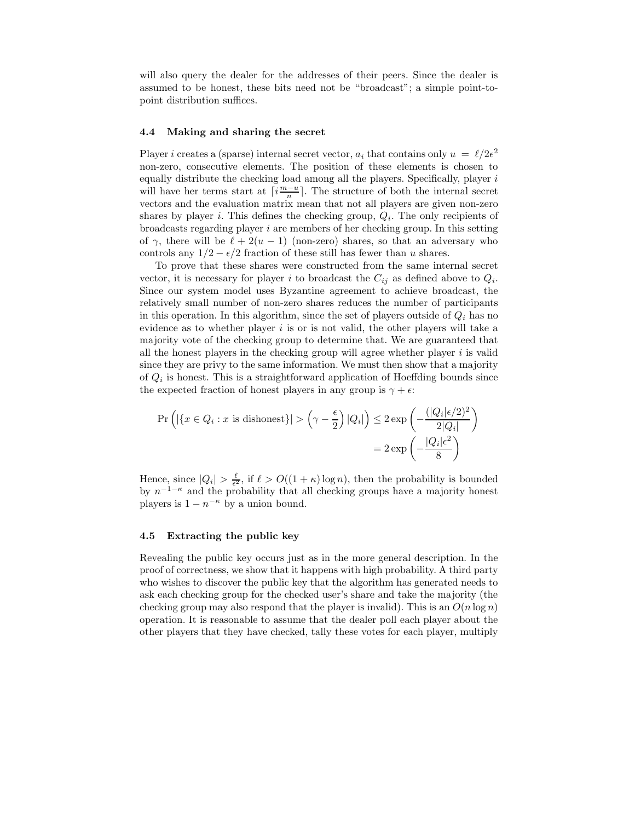will also query the dealer for the addresses of their peers. Since the dealer is assumed to be honest, these bits need not be "broadcast"; a simple point-topoint distribution suffices.

#### 4.4 Making and sharing the secret

Player *i* creates a (sparse) internal secret vector,  $a_i$  that contains only  $u = \ell/2e^2$ non-zero, consecutive elements. The position of these elements is chosen to equally distribute the checking load among all the players. Specifically, player  $i$ will have her terms start at  $\lceil i \frac{m-u}{n} \rceil$ . The structure of both the internal secret vectors and the evaluation matrix mean that not all players are given non-zero shares by player *i*. This defines the checking group,  $Q_i$ . The only recipients of broadcasts regarding player i are members of her checking group. In this setting of  $\gamma$ , there will be  $\ell + 2(u - 1)$  (non-zero) shares, so that an adversary who controls any  $1/2 - \epsilon/2$  fraction of these still has fewer than u shares.

To prove that these shares were constructed from the same internal secret vector, it is necessary for player i to broadcast the  $C_{ij}$  as defined above to  $Q_i$ . Since our system model uses Byzantine agreement to achieve broadcast, the relatively small number of non-zero shares reduces the number of participants in this operation. In this algorithm, since the set of players outside of  $Q_i$  has no evidence as to whether player  $i$  is or is not valid, the other players will take a majority vote of the checking group to determine that. We are guaranteed that all the honest players in the checking group will agree whether player  $i$  is valid since they are privy to the same information. We must then show that a majority of  $Q_i$  is honest. This is a straightforward application of Hoeffding bounds since the expected fraction of honest players in any group is  $\gamma + \epsilon$ :

$$
\Pr\left(\left|\left\{x \in Q_i : x \text{ is dishonest}\right\}\right| > \left(\gamma - \frac{\epsilon}{2}\right)|Q_i|\right) \le 2 \exp\left(-\frac{(|Q_i|\epsilon/2)^2}{2|Q_i|}\right)
$$

$$
= 2 \exp\left(-\frac{|Q_i|\epsilon^2}{8}\right)
$$

Hence, since  $|Q_i| > \frac{\ell}{\epsilon^2}$ , if  $\ell > O((1 + \kappa) \log n)$ , then the probability is bounded by  $n^{-1-\kappa}$  and the probability that all checking groups have a majority honest players is  $1 - n^{-\kappa}$  by a union bound.

#### 4.5 Extracting the public key

Revealing the public key occurs just as in the more general description. In the proof of correctness, we show that it happens with high probability. A third party who wishes to discover the public key that the algorithm has generated needs to ask each checking group for the checked user's share and take the majority (the checking group may also respond that the player is invalid). This is an  $O(n \log n)$ operation. It is reasonable to assume that the dealer poll each player about the other players that they have checked, tally these votes for each player, multiply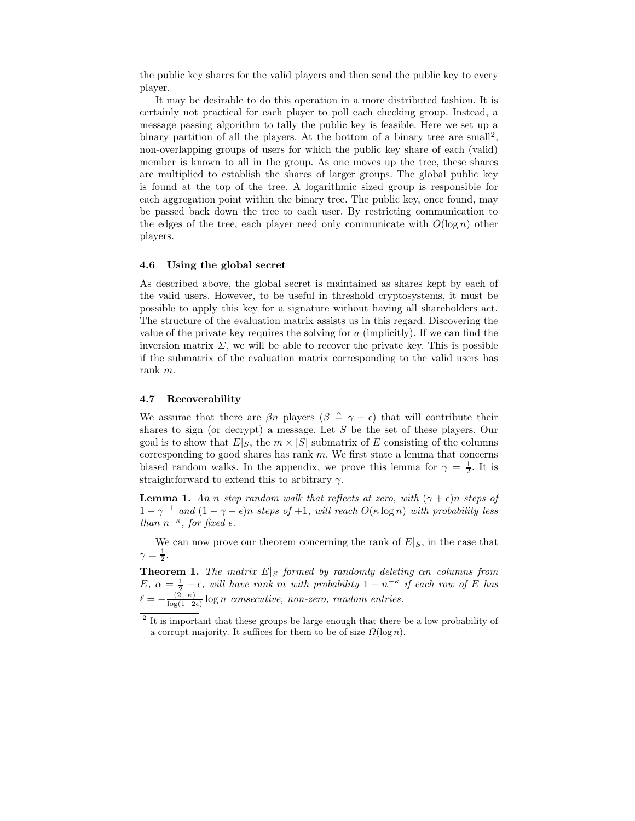the public key shares for the valid players and then send the public key to every player.

It may be desirable to do this operation in a more distributed fashion. It is certainly not practical for each player to poll each checking group. Instead, a message passing algorithm to tally the public key is feasible. Here we set up a binary partition of all the players. At the bottom of a binary tree are small<sup>2</sup>, non-overlapping groups of users for which the public key share of each (valid) member is known to all in the group. As one moves up the tree, these shares are multiplied to establish the shares of larger groups. The global public key is found at the top of the tree. A logarithmic sized group is responsible for each aggregation point within the binary tree. The public key, once found, may be passed back down the tree to each user. By restricting communication to the edges of the tree, each player need only communicate with  $O(\log n)$  other players.

#### 4.6 Using the global secret

As described above, the global secret is maintained as shares kept by each of the valid users. However, to be useful in threshold cryptosystems, it must be possible to apply this key for a signature without having all shareholders act. The structure of the evaluation matrix assists us in this regard. Discovering the value of the private key requires the solving for  $a$  (implicitly). If we can find the inversion matrix  $\Sigma$ , we will be able to recover the private key. This is possible if the submatrix of the evaluation matrix corresponding to the valid users has rank m.

#### 4.7 Recoverability

We assume that there are  $\beta n$  players  $(\beta \triangleq \gamma + \epsilon)$  that will contribute their shares to sign (or decrypt) a message. Let S be the set of these players. Our goal is to show that  $E|_S$ , the  $m \times |S|$  submatrix of E consisting of the columns corresponding to good shares has rank  $m$ . We first state a lemma that concerns biased random walks. In the appendix, we prove this lemma for  $\gamma = \frac{1}{2}$ . It is straightforward to extend this to arbitrary  $\gamma$ .

**Lemma 1.** An n step random walk that reflects at zero, with  $(\gamma + \epsilon)n$  steps of  $1 - \gamma^{-1}$  and  $(1 - \gamma - \epsilon)n$  steps of  $+1$ , will reach  $O(\kappa \log n)$  with probability less than  $n^{-\kappa}$ , for fixed  $\epsilon$ .

We can now prove our theorem concerning the rank of  $E|_S$ , in the case that  $\gamma=\frac{1}{2}.$ 

**Theorem 1.** The matrix  $E|_{S}$  formed by randomly deleting an columns from  $E, \ \alpha = \frac{1}{2} - \epsilon$ , will have rank m with probability  $1 - n^{-\kappa}$  if each row of E has  $\ell = -\frac{(2+\kappa)}{\log(1-2)}$  $\frac{(2+\kappa)}{\log(1-2\epsilon)}$  log n consecutive, non-zero, random entries.

 $2$  It is important that these groups be large enough that there be a low probability of a corrupt majority. It suffices for them to be of size  $\Omega(\log n)$ .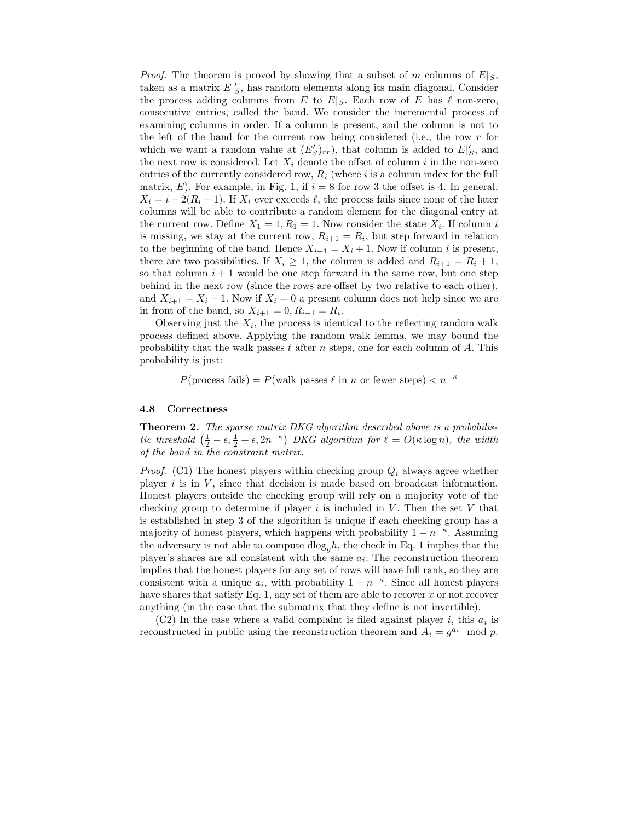*Proof.* The theorem is proved by showing that a subset of m columns of  $E|_S$ , taken as a matrix  $E|_{S}$ , has random elements along its main diagonal. Consider the process adding columns from E to  $E|_S$ . Each row of E has  $\ell$  non-zero, consecutive entries, called the band. We consider the incremental process of examining columns in order. If a column is present, and the column is not to the left of the band for the current row being considered (i.e., the row  $r$  for which we want a random value at  $(E'_{S})_{rr}$ , that column is added to  $E'_{S}$ , and the next row is considered. Let  $X_i$  denote the offset of column i in the non-zero entries of the currently considered row,  $R_i$  (where i is a column index for the full matrix, E). For example, in Fig. 1, if  $i = 8$  for row 3 the offset is 4. In general,  $X_i = i - 2(R_i - 1)$ . If  $X_i$  ever exceeds  $\ell$ , the process fails since none of the later columns will be able to contribute a random element for the diagonal entry at the current row. Define  $X_1 = 1, R_1 = 1$ . Now consider the state  $X_i$ . If column i is missing, we stay at the current row,  $R_{i+1} = R_i$ , but step forward in relation to the beginning of the band. Hence  $X_{i+1} = X_i + 1$ . Now if column *i* is present, there are two possibilities. If  $X_i \geq 1$ , the column is added and  $R_{i+1} = R_i + 1$ , so that column  $i + 1$  would be one step forward in the same row, but one step behind in the next row (since the rows are offset by two relative to each other), and  $X_{i+1} = X_i - 1$ . Now if  $X_i = 0$  a present column does not help since we are in front of the band, so  $X_{i+1} = 0, R_{i+1} = R_i$ .

Observing just the  $X_i$ , the process is identical to the reflecting random walk process defined above. Applying the random walk lemma, we may bound the probability that the walk passes  $t$  after  $n$  steps, one for each column of  $A$ . This probability is just:

 $P(\text{process fails}) = P(\text{walk passes } \ell \text{ in } n \text{ or fewer steps}) < n^{-\kappa}$ 

#### 4.8 Correctness

Theorem 2. The sparse matrix DKG algorithm described above is a probabilistic threshold  $(\frac{1}{2} - \epsilon, \frac{1}{2} + \epsilon, 2n^{-\kappa})$  DKG algorithm for  $\ell = O(\kappa \log n)$ , the width of the band in the constraint matrix.

*Proof.* (C1) The honest players within checking group  $Q_i$  always agree whether player  $i$  is in  $V$ , since that decision is made based on broadcast information. Honest players outside the checking group will rely on a majority vote of the checking group to determine if player  $i$  is included in  $V$ . Then the set  $V$  that is established in step 3 of the algorithm is unique if each checking group has a majority of honest players, which happens with probability  $1 - n^{-\kappa}$ . Assuming the adversary is not able to compute  $dlog_a h$ , the check in Eq. 1 implies that the player's shares are all consistent with the same  $a_i$ . The reconstruction theorem implies that the honest players for any set of rows will have full rank, so they are consistent with a unique  $a_i$ , with probability  $1 - n^{-\kappa}$ . Since all honest players have shares that satisfy Eq. 1, any set of them are able to recover  $x$  or not recover anything (in the case that the submatrix that they define is not invertible).

 $(C2)$  In the case where a valid complaint is filed against player *i*, this  $a_i$  is reconstructed in public using the reconstruction theorem and  $A_i = g^{a_i} \mod p$ .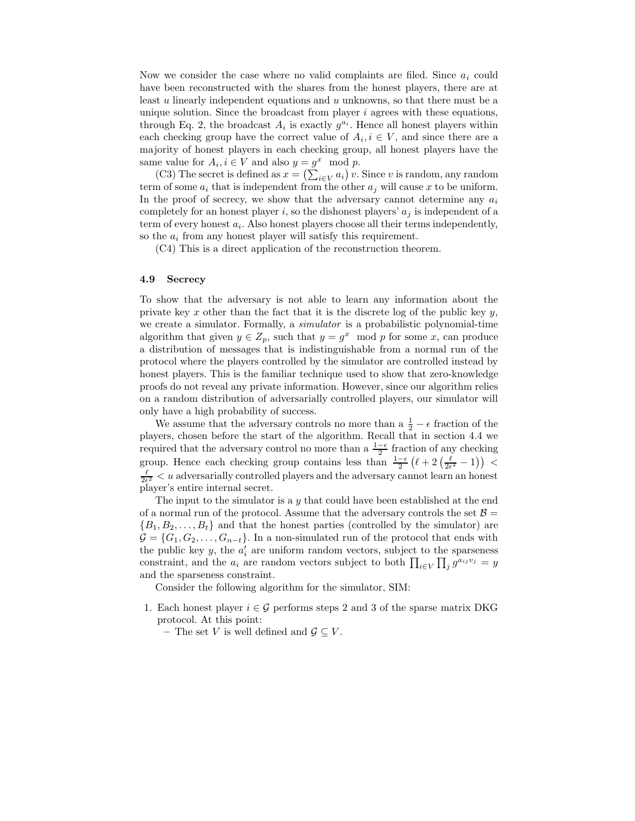Now we consider the case where no valid complaints are filed. Since  $a_i$  could have been reconstructed with the shares from the honest players, there are at least u linearly independent equations and u unknowns, so that there must be a unique solution. Since the broadcast from player  $i$  agrees with these equations, through Eq. 2, the broadcast  $A_i$  is exactly  $g^{a_i}$ . Hence all honest players within each checking group have the correct value of  $A_i, i \in V$ , and since there are a majority of honest players in each checking group, all honest players have the same value for  $A_i, i \in V$  and also  $y = g^x \mod p$ .

(C3) The secret is defined as  $x = (\sum_{i \in V} a_i) v$ . Since v is random, any random term of some  $a_i$  that is independent from the other  $a_j$  will cause x to be uniform. In the proof of secrecy, we show that the adversary cannot determine any  $a_i$ completely for an honest player i, so the dishonest players'  $a_i$  is independent of a term of every honest  $a_i$ . Also honest players choose all their terms independently, so the  $a_i$  from any honest player will satisfy this requirement.

(C4) This is a direct application of the reconstruction theorem.

#### 4.9 Secrecy

To show that the adversary is not able to learn any information about the private key x other than the fact that it is the discrete log of the public key  $y$ , we create a simulator. Formally, a *simulator* is a probabilistic polynomial-time algorithm that given  $y \in Z_p$ , such that  $y = g^x \mod p$  for some x, can produce a distribution of messages that is indistinguishable from a normal run of the protocol where the players controlled by the simulator are controlled instead by honest players. This is the familiar technique used to show that zero-knowledge proofs do not reveal any private information. However, since our algorithm relies on a random distribution of adversarially controlled players, our simulator will only have a high probability of success.

We assume that the adversary controls no more than a  $\frac{1}{2} - \epsilon$  fraction of the players, chosen before the start of the algorithm. Recall that in section 4.4 we required that the adversary control no more than a  $\frac{1-\epsilon}{2}$  fraction of any checking group. Hence each checking group contains less than  $\frac{1-\epsilon}{2}(\ell+2(\frac{\ell}{2\epsilon^2}-1))$  <  $\frac{\ell}{2\epsilon^2} < u$  adversarially controlled players and the adversary cannot learn an honest player's entire internal secret.

The input to the simulator is a  $y$  that could have been established at the end of a normal run of the protocol. Assume that the adversary controls the set  $\mathcal{B} =$  ${B_1, B_2, \ldots, B_t}$  and that the honest parties (controlled by the simulator) are  $\mathcal{G} = \{G_1, G_2, \ldots, G_{n-t}\}.$  In a non-simulated run of the protocol that ends with the public key  $y$ , the  $a'_i$  are uniform random vectors, subject to the sparseness constraint, and the  $a_i$  are random vectors subject to both  $\prod_{i\in V} \prod_j g^{a_{ij}v_j} = y$ and the sparseness constraint.

Consider the following algorithm for the simulator, SIM:

- 1. Each honest player  $i \in \mathcal{G}$  performs steps 2 and 3 of the sparse matrix DKG protocol. At this point:
	- The set V is well defined and  $\mathcal{G} \subseteq V$ .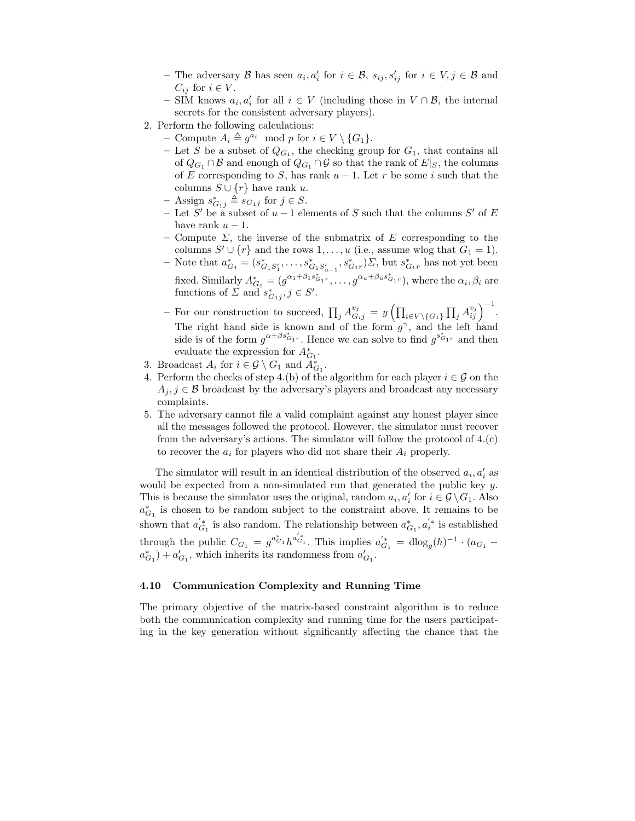- The adversary  $\mathcal{B}$  has seen  $a_i, a'_i$  for  $i \in \mathcal{B}$ ,  $s_{ij}, s'_{ij}$  for  $i \in V, j \in \mathcal{B}$  and  $C_{ij}$  for  $i \in V$ .
- − SIM knows  $a_i, a'_i$  for all  $i \in V$  (including those in  $V \cap B$ , the internal secrets for the consistent adversary players).
- 2. Perform the following calculations:
	- − Compute  $A_i \triangleq g^{a_i} \mod p$  for  $i \in V \setminus \{G_1\}.$
	- Let S be a subset of  $Q_{G_1}$ , the checking group for  $G_1$ , that contains all of  $Q_{G_1} \cap B$  and enough of  $Q_{G_1} \cap G$  so that the rank of  $E|_S$ , the columns of E corresponding to S, has rank  $u - 1$ . Let r be some i such that the columns  $S \cup \{r\}$  have rank u.
	- $-$  Assign  $s_{G_1j}^* \triangleq s_{G_1j}$  for  $j \in S$ .
	- Let S' be a subset of  $u-1$  elements of S such that the columns S' of E have rank  $u - 1$ .
	- Compute  $\Sigma$ , the inverse of the submatrix of E corresponding to the columns  $S' \cup \{r\}$  and the rows  $1, \ldots, u$  (i.e., assume wlog that  $G_1 = 1$ ).
	- − Note that  $a_{G_1}^* = (s_{G_1S'_1}^*, \ldots, s_{G_1S'_{u-1}}, s_{G_1r}^*)\Sigma$ , but  $s_{G_1r}^*$  has not yet been fixed. Similarly  $A_{G_1}^* = (g^{\alpha_1+\beta_1s_{G_1}^*}, \ldots, g^{\alpha_u+\beta_us_{G_1}^*},$  where the  $\alpha_i, \beta_i$  are functions of  $\Sigma$  and  $s_{G_1j}^*$ ,  $j \in S'$ .
	- For our construction to succeed,  $\prod_j A_{G_{i,j}}^{v_j} = y \left( \prod_{i \in V \setminus \{G_1\}} \prod_j A_{ij}^{v_j} \right)^{-1}$ . The right hand side is known and of the form  $g^{\gamma}$ , and the left hand side is of the form  $g^{\alpha+\beta s_{G_1r}^*}$ . Hence we can solve to find  $g^{s_{G_1r}^*}$  and then evaluate the expression for  $A_{G_1}^*$ .
- 3. Broadcast  $A_i$  for  $i \in \mathcal{G} \setminus G_1$  and  $A_{G_1}^*$ .
- 4. Perform the checks of step 4.(b) of the algorithm for each player  $i \in \mathcal{G}$  on the  $A_i, j \in \mathcal{B}$  broadcast by the adversary's players and broadcast any necessary complaints.
- 5. The adversary cannot file a valid complaint against any honest player since all the messages followed the protocol. However, the simulator must recover from the adversary's actions. The simulator will follow the protocol of 4.(c) to recover the  $a_i$  for players who did not share their  $A_i$  properly.

The simulator will result in an identical distribution of the observed  $a_i, a'_i$  as would be expected from a non-simulated run that generated the public key y. This is because the simulator uses the original, random  $a_i, a'_i$  for  $i \in \mathcal{G} \setminus G_1$ . Also  $a_{G_1}^*$  is chosen to be random subject to the constraint above. It remains to be shown that  $a_{G_1}^{'*}$  is also random. The relationship between  $a_{G_1}^*, a_i^{'*}$  is established through the public  $C_{G_1} = g^{a_{G_1}^*} h^{a_{G_1}'}$ . This implies  $a_{G_1}^{'} = \text{dlog}_g(h)^{-1} \cdot (a_{G_1}$  $a_{G_1}^*$ ) +  $a'_{G_1}$ , which inherits its randomness from  $a'_{G_1}$ .

### 4.10 Communication Complexity and Running Time

The primary objective of the matrix-based constraint algorithm is to reduce both the communication complexity and running time for the users participating in the key generation without significantly affecting the chance that the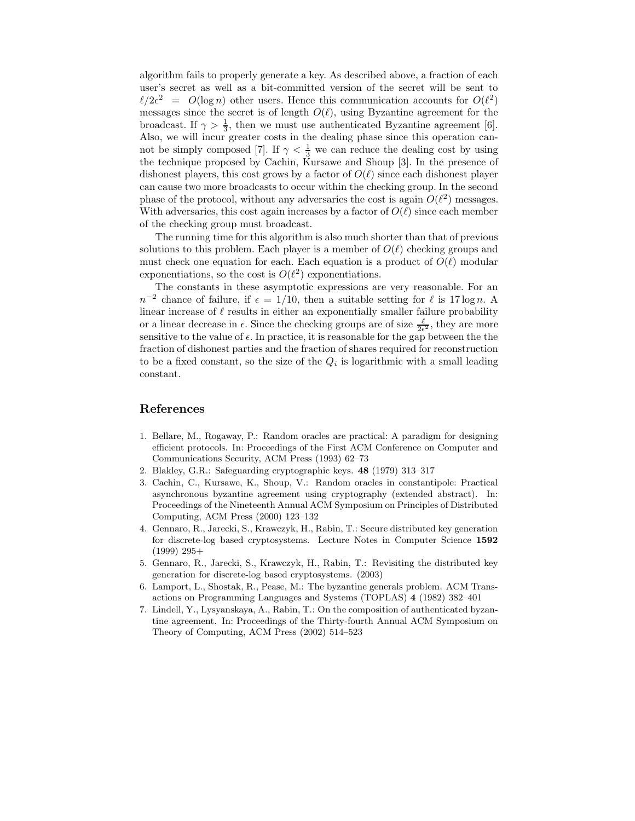algorithm fails to properly generate a key. As described above, a fraction of each user's secret as well as a bit-committed version of the secret will be sent to  $\ell/2\epsilon^2 = O(\log n)$  other users. Hence this communication accounts for  $O(\ell^2)$ messages since the secret is of length  $O(\ell)$ , using Byzantine agreement for the broadcast. If  $\gamma > \frac{1}{3}$ , then we must use authenticated Byzantine agreement [6]. Also, we will incur greater costs in the dealing phase since this operation cannot be simply composed [7]. If  $\gamma < \frac{1}{3}$  we can reduce the dealing cost by using the technique proposed by Cachin, Kursawe and Shoup [3]. In the presence of dishonest players, this cost grows by a factor of  $O(\ell)$  since each dishonest player can cause two more broadcasts to occur within the checking group. In the second phase of the protocol, without any adversaries the cost is again  $O(\ell^2)$  messages. With adversaries, this cost again increases by a factor of  $O(\ell)$  since each member of the checking group must broadcast.

The running time for this algorithm is also much shorter than that of previous solutions to this problem. Each player is a member of  $O(\ell)$  checking groups and must check one equation for each. Each equation is a product of  $O(\ell)$  modular exponentiations, so the cost is  $O(\ell^2)$  exponentiations.

The constants in these asymptotic expressions are very reasonable. For an  $n^{-2}$  chance of failure, if  $\epsilon = 1/10$ , then a suitable setting for  $\ell$  is 17 log n. A linear increase of  $\ell$  results in either an exponentially smaller failure probability or a linear decrease in  $\epsilon$ . Since the checking groups are of size  $\frac{\ell}{2\epsilon^2}$ , they are more sensitive to the value of  $\epsilon$ . In practice, it is reasonable for the gap between the the fraction of dishonest parties and the fraction of shares required for reconstruction to be a fixed constant, so the size of the  $Q_i$  is logarithmic with a small leading constant.

## References

- 1. Bellare, M., Rogaway, P.: Random oracles are practical: A paradigm for designing efficient protocols. In: Proceedings of the First ACM Conference on Computer and Communications Security, ACM Press (1993) 62–73
- 2. Blakley, G.R.: Safeguarding cryptographic keys. 48 (1979) 313–317
- 3. Cachin, C., Kursawe, K., Shoup, V.: Random oracles in constantipole: Practical asynchronous byzantine agreement using cryptography (extended abstract). In: Proceedings of the Nineteenth Annual ACM Symposium on Principles of Distributed Computing, ACM Press (2000) 123–132
- 4. Gennaro, R., Jarecki, S., Krawczyk, H., Rabin, T.: Secure distributed key generation for discrete-log based cryptosystems. Lecture Notes in Computer Science 1592 (1999) 295+
- 5. Gennaro, R., Jarecki, S., Krawczyk, H., Rabin, T.: Revisiting the distributed key generation for discrete-log based cryptosystems. (2003)
- 6. Lamport, L., Shostak, R., Pease, M.: The byzantine generals problem. ACM Transactions on Programming Languages and Systems (TOPLAS) 4 (1982) 382–401
- 7. Lindell, Y., Lysyanskaya, A., Rabin, T.: On the composition of authenticated byzantine agreement. In: Proceedings of the Thirty-fourth Annual ACM Symposium on Theory of Computing, ACM Press (2002) 514–523